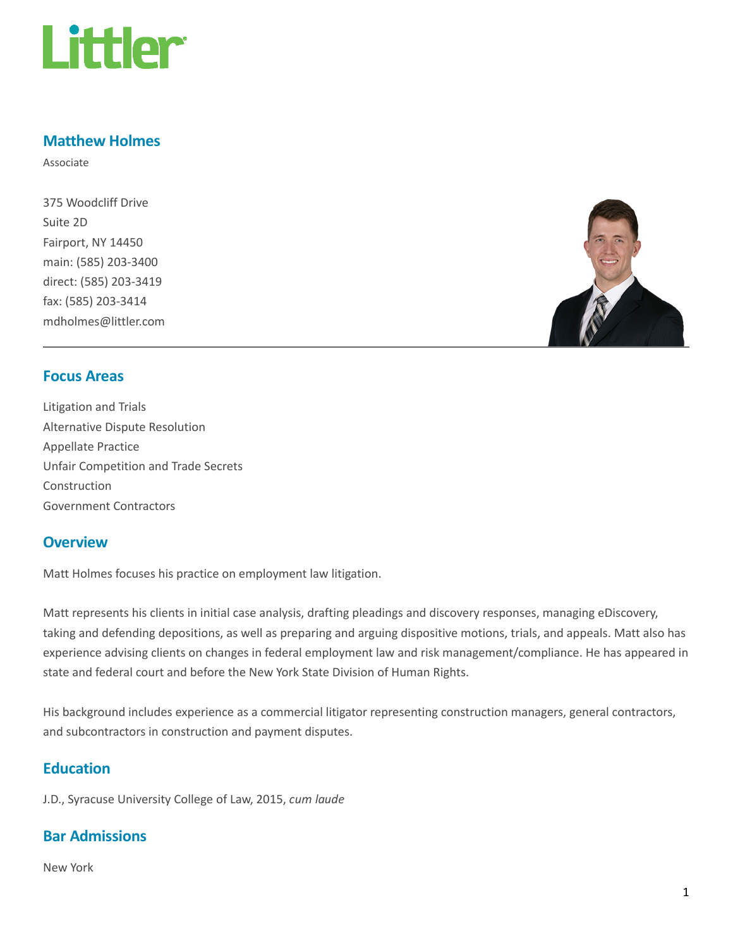

# Matthew Holmes

Associate

375 Woodcliff Drive Suite 2D Fairport, NY 14450 main: (585) 203-3400 direct: (585) 203-3419 fax: (585) 203-3414 mdholmes@littler.com



## Focus Areas

Litigation and Trials Alternative Dispute Resolution Appellate Practice Unfair Competition and Trade Secrets Construction Government Contractors

## **Overview**

Matt Holmes focuses his practice on employment law litigation.

Matt represents his clients in initial case analysis, drafting pleadings and discovery responses, managing eDiscovery, taking and defending depositions, as well as preparing and arguing dispositive motions, trials, and appeals. Matt also has experience advising clients on changes in federal employment law and risk management/compliance. He has appeared in state and federal court and before the New York State Division of Human Rights.

His background includes experience as a commercial litigator representing construction managers, general contractors, and subcontractors in construction and payment disputes.

## **Education**

J.D., Syracuse University College of Law, 2015, cum laude

## Bar Admissions

New York